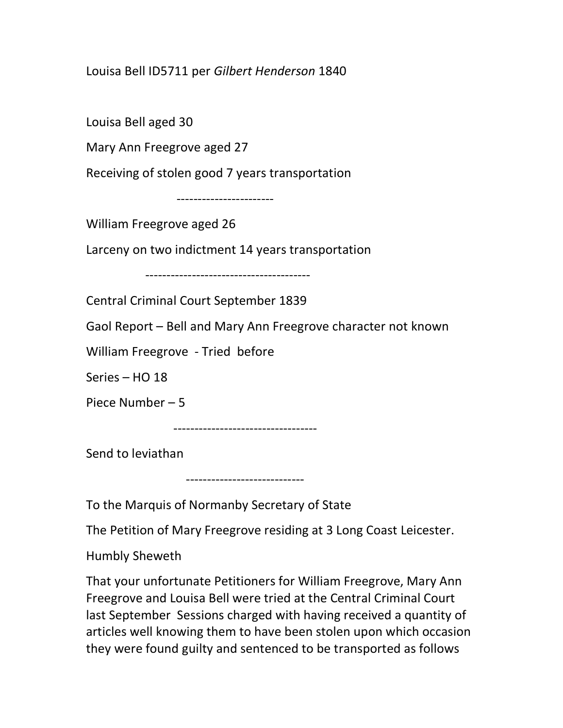## Louisa Bell ID5711 per Gilbert Henderson 1840

Louisa Bell aged 30

Mary Ann Freegrove aged 27

Receiving of stolen good 7 years transportation

-----------------------

William Freegrove aged 26

Larceny on two indictment 14 years transportation

---------------------------------------

Central Criminal Court September 1839

Gaol Report – Bell and Mary Ann Freegrove character not known

William Freegrove - Tried before

Series – HO 18

Piece Number – 5

----------------------------------

Send to leviathan

----------------------------

To the Marquis of Normanby Secretary of State

The Petition of Mary Freegrove residing at 3 Long Coast Leicester.

Humbly Sheweth

That your unfortunate Petitioners for William Freegrove, Mary Ann Freegrove and Louisa Bell were tried at the Central Criminal Court last September Sessions charged with having received a quantity of articles well knowing them to have been stolen upon which occasion they were found guilty and sentenced to be transported as follows